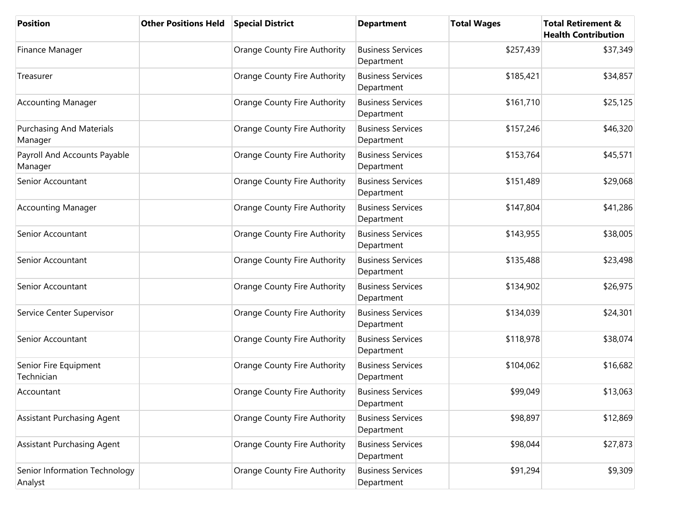| <b>Position</b>                            | <b>Other Positions Held</b> | <b>Special District</b>      | <b>Department</b>                      | <b>Total Wages</b> | <b>Total Retirement &amp;</b><br><b>Health Contribution</b> |
|--------------------------------------------|-----------------------------|------------------------------|----------------------------------------|--------------------|-------------------------------------------------------------|
| Finance Manager                            |                             | Orange County Fire Authority | <b>Business Services</b><br>Department | \$257,439          | \$37,349                                                    |
| Treasurer                                  |                             | Orange County Fire Authority | <b>Business Services</b><br>Department | \$185,421          | \$34,857                                                    |
| <b>Accounting Manager</b>                  |                             | Orange County Fire Authority | <b>Business Services</b><br>Department | \$161,710          | \$25,125                                                    |
| <b>Purchasing And Materials</b><br>Manager |                             | Orange County Fire Authority | <b>Business Services</b><br>Department | \$157,246          | \$46,320                                                    |
| Payroll And Accounts Payable<br>Manager    |                             | Orange County Fire Authority | <b>Business Services</b><br>Department | \$153,764          | \$45,571                                                    |
| Senior Accountant                          |                             | Orange County Fire Authority | <b>Business Services</b><br>Department | \$151,489          | \$29,068                                                    |
| <b>Accounting Manager</b>                  |                             | Orange County Fire Authority | <b>Business Services</b><br>Department | \$147,804          | \$41,286                                                    |
| Senior Accountant                          |                             | Orange County Fire Authority | <b>Business Services</b><br>Department | \$143,955          | \$38,005                                                    |
| Senior Accountant                          |                             | Orange County Fire Authority | <b>Business Services</b><br>Department | \$135,488          | \$23,498                                                    |
| Senior Accountant                          |                             | Orange County Fire Authority | <b>Business Services</b><br>Department | \$134,902          | \$26,975                                                    |
| Service Center Supervisor                  |                             | Orange County Fire Authority | <b>Business Services</b><br>Department | \$134,039          | \$24,301                                                    |
| Senior Accountant                          |                             | Orange County Fire Authority | <b>Business Services</b><br>Department | \$118,978          | \$38,074                                                    |
| Senior Fire Equipment<br>Technician        |                             | Orange County Fire Authority | <b>Business Services</b><br>Department | \$104,062          | \$16,682                                                    |
| Accountant                                 |                             | Orange County Fire Authority | <b>Business Services</b><br>Department | \$99,049           | \$13,063                                                    |
| <b>Assistant Purchasing Agent</b>          |                             | Orange County Fire Authority | <b>Business Services</b><br>Department | \$98,897           | \$12,869                                                    |
| <b>Assistant Purchasing Agent</b>          |                             | Orange County Fire Authority | <b>Business Services</b><br>Department | \$98,044           | \$27,873                                                    |
| Senior Information Technology<br>Analyst   |                             | Orange County Fire Authority | <b>Business Services</b><br>Department | \$91,294           | \$9,309                                                     |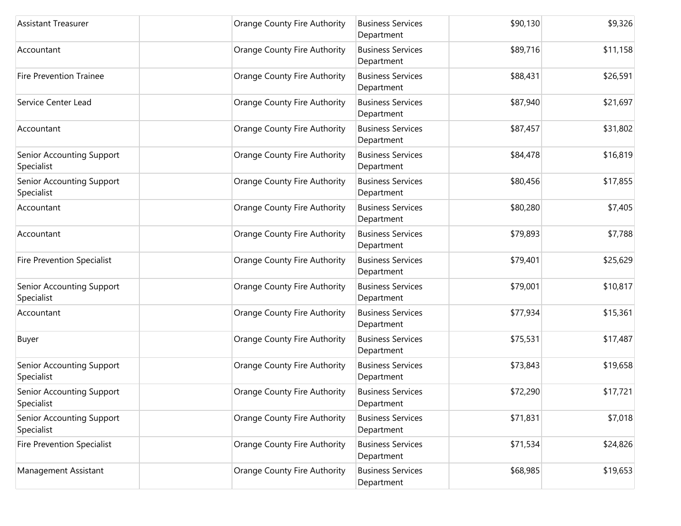| <b>Assistant Treasurer</b>              | Orange County Fire Authority | <b>Business Services</b><br>Department | \$90,130 | \$9,326  |
|-----------------------------------------|------------------------------|----------------------------------------|----------|----------|
| Accountant                              | Orange County Fire Authority | <b>Business Services</b><br>Department | \$89,716 | \$11,158 |
| <b>Fire Prevention Trainee</b>          | Orange County Fire Authority | <b>Business Services</b><br>Department | \$88,431 | \$26,591 |
| Service Center Lead                     | Orange County Fire Authority | <b>Business Services</b><br>Department | \$87,940 | \$21,697 |
| Accountant                              | Orange County Fire Authority | <b>Business Services</b><br>Department | \$87,457 | \$31,802 |
| Senior Accounting Support<br>Specialist | Orange County Fire Authority | <b>Business Services</b><br>Department | \$84,478 | \$16,819 |
| Senior Accounting Support<br>Specialist | Orange County Fire Authority | <b>Business Services</b><br>Department | \$80,456 | \$17,855 |
| Accountant                              | Orange County Fire Authority | <b>Business Services</b><br>Department | \$80,280 | \$7,405  |
| Accountant                              | Orange County Fire Authority | <b>Business Services</b><br>Department | \$79,893 | \$7,788  |
| <b>Fire Prevention Specialist</b>       | Orange County Fire Authority | <b>Business Services</b><br>Department | \$79,401 | \$25,629 |
| Senior Accounting Support<br>Specialist | Orange County Fire Authority | <b>Business Services</b><br>Department | \$79,001 | \$10,817 |
| Accountant                              | Orange County Fire Authority | <b>Business Services</b><br>Department | \$77,934 | \$15,361 |
| Buyer                                   | Orange County Fire Authority | <b>Business Services</b><br>Department | \$75,531 | \$17,487 |
| Senior Accounting Support<br>Specialist | Orange County Fire Authority | <b>Business Services</b><br>Department | \$73,843 | \$19,658 |
| Senior Accounting Support<br>Specialist | Orange County Fire Authority | <b>Business Services</b><br>Department | \$72,290 | \$17,721 |
| Senior Accounting Support<br>Specialist | Orange County Fire Authority | <b>Business Services</b><br>Department | \$71,831 | \$7,018  |
| <b>Fire Prevention Specialist</b>       | Orange County Fire Authority | <b>Business Services</b><br>Department | \$71,534 | \$24,826 |
| Management Assistant                    | Orange County Fire Authority | <b>Business Services</b><br>Department | \$68,985 | \$19,653 |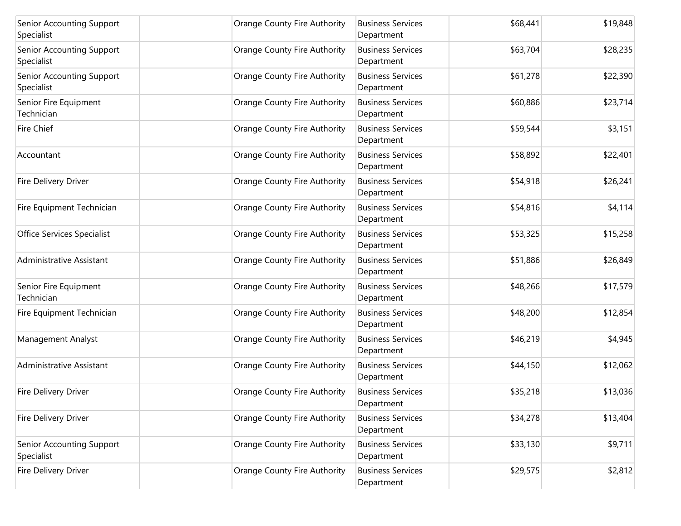| Senior Accounting Support<br>Specialist | <b>Orange County Fire Authority</b> | <b>Business Services</b><br>Department | \$68,441 | \$19,848 |
|-----------------------------------------|-------------------------------------|----------------------------------------|----------|----------|
| Senior Accounting Support<br>Specialist | Orange County Fire Authority        | <b>Business Services</b><br>Department | \$63,704 | \$28,235 |
| Senior Accounting Support<br>Specialist | Orange County Fire Authority        | <b>Business Services</b><br>Department | \$61,278 | \$22,390 |
| Senior Fire Equipment<br>Technician     | Orange County Fire Authority        | <b>Business Services</b><br>Department | \$60,886 | \$23,714 |
| <b>Fire Chief</b>                       | Orange County Fire Authority        | <b>Business Services</b><br>Department | \$59,544 | \$3,151  |
| Accountant                              | Orange County Fire Authority        | <b>Business Services</b><br>Department | \$58,892 | \$22,401 |
| Fire Delivery Driver                    | Orange County Fire Authority        | <b>Business Services</b><br>Department | \$54,918 | \$26,241 |
| Fire Equipment Technician               | <b>Orange County Fire Authority</b> | <b>Business Services</b><br>Department | \$54,816 | \$4,114  |
| Office Services Specialist              | <b>Orange County Fire Authority</b> | <b>Business Services</b><br>Department | \$53,325 | \$15,258 |
| Administrative Assistant                | Orange County Fire Authority        | <b>Business Services</b><br>Department | \$51,886 | \$26,849 |
| Senior Fire Equipment<br>Technician     | Orange County Fire Authority        | <b>Business Services</b><br>Department | \$48,266 | \$17,579 |
| Fire Equipment Technician               | Orange County Fire Authority        | <b>Business Services</b><br>Department | \$48,200 | \$12,854 |
| Management Analyst                      | Orange County Fire Authority        | <b>Business Services</b><br>Department | \$46,219 | \$4,945  |
| Administrative Assistant                | Orange County Fire Authority        | <b>Business Services</b><br>Department | \$44,150 | \$12,062 |
| Fire Delivery Driver                    | Orange County Fire Authority        | <b>Business Services</b><br>Department | \$35,218 | \$13,036 |
| Fire Delivery Driver                    | Orange County Fire Authority        | <b>Business Services</b><br>Department | \$34,278 | \$13,404 |
| Senior Accounting Support<br>Specialist | Orange County Fire Authority        | <b>Business Services</b><br>Department | \$33,130 | \$9,711  |
| Fire Delivery Driver                    | <b>Orange County Fire Authority</b> | <b>Business Services</b><br>Department | \$29,575 | \$2,812  |